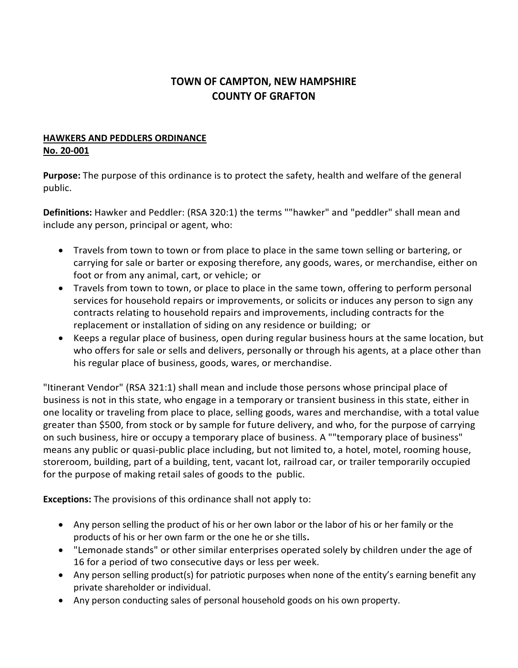## **TOWN OF CAMPTON, NEW HAMPSHIRE COUNTY OF GRAFTON**

## **HAWKERS AND PEDDLERS ORDINANCE No. 20-001**

**Purpose:** The purpose of this ordinance is to protect the safety, health and welfare of the general public.

**Definitions:** Hawker and Peddler: (RSA 320:1) the terms ""hawker" and "peddler" shall mean and include any person, principal or agent, who:

- Travels from town to town or from place to place in the same town selling or bartering, or carrying for sale or barter or exposing therefore, any goods, wares, or merchandise, either on foot or from any animal, cart, or vehicle; or
- Travels from town to town, or place to place in the same town, offering to perform personal services for household repairs or improvements, or solicits or induces any person to sign any contracts relating to household repairs and improvements, including contracts for the replacement or installation of siding on any residence or building; or
- Keeps a regular place of business, open during regular business hours at the same location, but who offers for sale or sells and delivers, personally or through his agents, at a place other than his regular place of business, goods, wares, or merchandise.

"Itinerant Vendor" (RSA 321:1) shall mean and include those persons whose principal place of business is not in this state, who engage in a temporary or transient business in this state, either in one locality or traveling from place to place, selling goods, wares and merchandise, with a total value greater than \$500, from stock or by sample for future delivery, and who, for the purpose of carrying on such business, hire or occupy a temporary place of business. A ""temporary place of business" means any public or quasi-public place including, but not limited to, a hotel, motel, rooming house, storeroom, building, part of a building, tent, vacant lot, railroad car, or trailer temporarily occupied for the purpose of making retail sales of goods to the public.

**Exceptions:** The provisions of this ordinance shall not apply to:

- Any person selling the product of his or her own labor or the labor of his or her family or the products of his or her own farm or the one he or she tills**.**
- "Lemonade stands" or other similar enterprises operated solely by children under the age of 16 for a period of two consecutive days or less per week.
- Any person selling product(s) for patriotic purposes when none of the entity's earning benefit any private shareholder or individual.
- Any person conducting sales of personal household goods on his own property.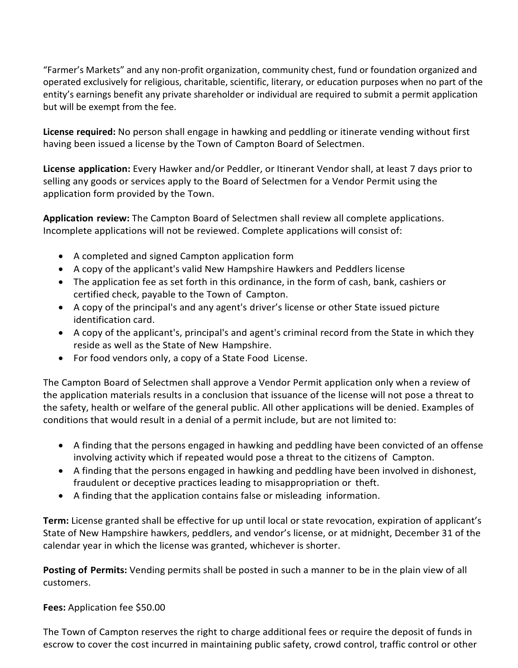"Farmer's Markets" and any non-profit organization, community chest, fund or foundation organized and operated exclusively for religious, charitable, scientific, literary, or education purposes when no part of the entity's earnings benefit any private shareholder or individual are required to submit a permit application but will be exempt from the fee.

**License required:** No person shall engage in hawking and peddling or itinerate vending without first having been issued a license by the Town of Campton Board of Selectmen.

**License application:** Every Hawker and/or Peddler, or Itinerant Vendor shall, at least 7 days prior to selling any goods or services apply to the Board of Selectmen for a Vendor Permit using the application form provided by the Town.

**Application review:** The Campton Board of Selectmen shall review all complete applications. Incomplete applications will not be reviewed. Complete applications will consist of:

- A completed and signed Campton application form
- A copy of the applicant's valid New Hampshire Hawkers and Peddlers license
- The application fee as set forth in this ordinance, in the form of cash, bank, cashiers or certified check, payable to the Town of Campton.
- A copy of the principal's and any agent's driver's license or other State issued picture identification card.
- A copy of the applicant's, principal's and agent's criminal record from the State in which they reside as well as the State of New Hampshire.
- For food vendors only, a copy of a State Food License.

The Campton Board of Selectmen shall approve a Vendor Permit application only when a review of the application materials results in a conclusion that issuance of the license will not pose a threat to the safety, health or welfare of the general public. All other applications will be denied. Examples of conditions that would result in a denial of a permit include, but are not limited to:

- A finding that the persons engaged in hawking and peddling have been convicted of an offense involving activity which if repeated would pose a threat to the citizens of Campton.
- A finding that the persons engaged in hawking and peddling have been involved in dishonest, fraudulent or deceptive practices leading to misappropriation or theft.
- A finding that the application contains false or misleading information.

**Term:** License granted shall be effective for up until local or state revocation, expiration of applicant's State of New Hampshire hawkers, peddlers, and vendor's license, or at midnight, December 31 of the calendar year in which the license was granted, whichever is shorter.

**Posting of Permits:** Vending permits shall be posted in such a manner to be in the plain view of all customers.

**Fees:** Application fee \$50.00

The Town of Campton reserves the right to charge additional fees or require the deposit of funds in escrow to cover the cost incurred in maintaining public safety, crowd control, traffic control or other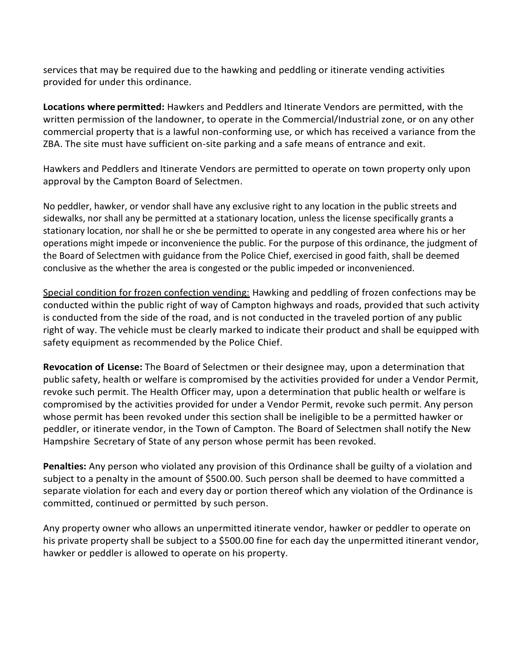services that may be required due to the hawking and peddling or itinerate vending activities provided for under this ordinance.

**Locations where permitted:** Hawkers and Peddlers and Itinerate Vendors are permitted, with the written permission of the landowner, to operate in the Commercial/Industrial zone, or on any other commercial property that is a lawful non-conforming use, or which has received a variance from the ZBA. The site must have sufficient on-site parking and a safe means of entrance and exit.

Hawkers and Peddlers and Itinerate Vendors are permitted to operate on town property only upon approval by the Campton Board of Selectmen.

No peddler, hawker, or vendor shall have any exclusive right to any location in the public streets and sidewalks, nor shall any be permitted at a stationary location, unless the license specifically grants a stationary location, nor shall he or she be permitted to operate in any congested area where his or her operations might impede or inconvenience the public. For the purpose of this ordinance, the judgment of the Board of Selectmen with guidance from the Police Chief, exercised in good faith, shall be deemed conclusive as the whether the area is congested or the public impeded or inconvenienced.

Special condition for frozen confection vending: Hawking and peddling of frozen confections may be conducted within the public right of way of Campton highways and roads, provided that such activity is conducted from the side of the road, and is not conducted in the traveled portion of any public right of way. The vehicle must be clearly marked to indicate their product and shall be equipped with safety equipment as recommended by the Police Chief.

**Revocation of License:** The Board of Selectmen or their designee may, upon a determination that public safety, health or welfare is compromised by the activities provided for under a Vendor Permit, revoke such permit. The Health Officer may, upon a determination that public health or welfare is compromised by the activities provided for under a Vendor Permit, revoke such permit. Any person whose permit has been revoked under this section shall be ineligible to be a permitted hawker or peddler, or itinerate vendor, in the Town of Campton. The Board of Selectmen shall notify the New Hampshire Secretary of State of any person whose permit has been revoked.

**Penalties:** Any person who violated any provision of this Ordinance shall be guilty of a violation and subject to a penalty in the amount of \$500.00. Such person shall be deemed to have committed a separate violation for each and every day or portion thereof which any violation of the Ordinance is committed, continued or permitted by such person.

Any property owner who allows an unpermitted itinerate vendor, hawker or peddler to operate on his private property shall be subject to a \$500.00 fine for each day the unpermitted itinerant vendor, hawker or peddler is allowed to operate on his property.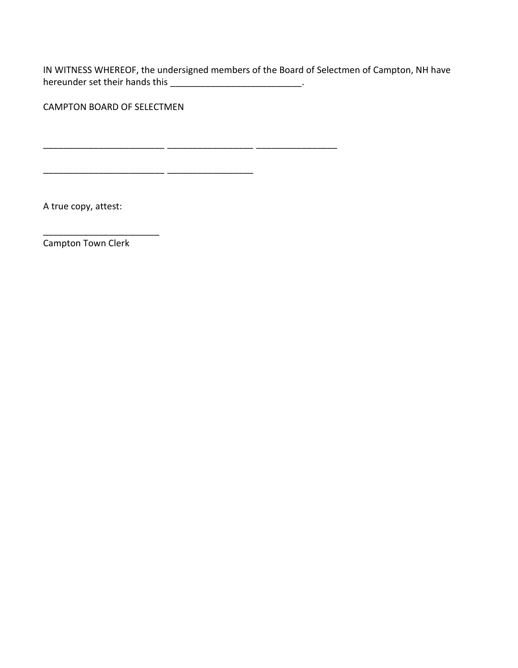IN WITNESS WHEREOF, the undersigned members of the Board of Selectmen of Campton, NH have hereunder set their hands this \_\_\_\_\_\_\_\_\_\_\_\_\_\_\_\_\_\_\_\_\_\_\_\_\_\_\_\_\_.

\_\_\_\_\_\_\_\_\_\_\_\_\_\_\_\_\_\_\_\_\_\_\_\_ \_\_\_\_\_\_\_\_\_\_\_\_\_\_\_\_\_ \_\_\_\_\_\_\_\_\_\_\_\_\_\_\_\_

\_\_\_\_\_\_\_\_\_\_\_\_\_\_\_\_\_\_\_\_\_\_\_\_ \_\_\_\_\_\_\_\_\_\_\_\_\_\_\_\_\_

CAMPTON BOARD OF SELECTMEN

A true copy, attest:

Campton Town Clerk

\_\_\_\_\_\_\_\_\_\_\_\_\_\_\_\_\_\_\_\_\_\_\_